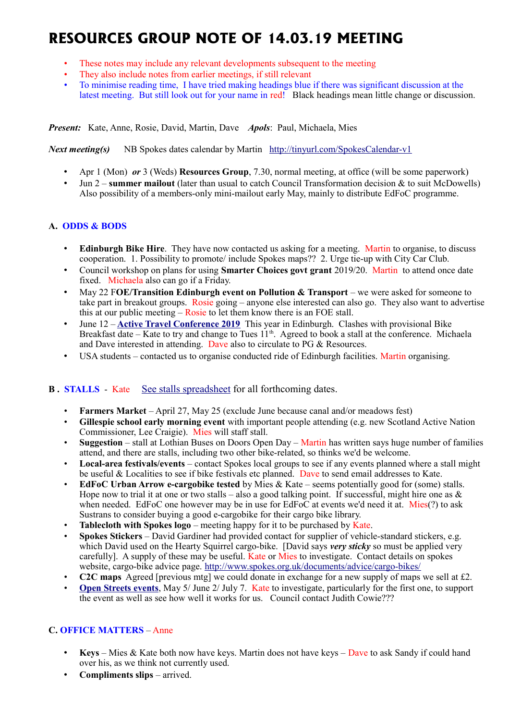# **RESOURCES GROUP NOTE OF 14.03.19 MEETING**

- These notes may include any relevant developments subsequent to the meeting
- They also include notes from earlier meetings, if still relevant
- To minimise reading time, I have tried making headings blue if there was significant discussion at the latest meeting. But still look out for your name in red! Black headings mean little change or discussion.

*Present:* Kate, Anne, Rosie, David, Martin, Dave *Apols*: Paul, Michaela, Mies

*Next meeting(s)*NB Spokes dates calendar by Martin <http://tinyurl.com/SpokesCalendar-v1>

- Apr 1 (Mon) *or* 3 (Weds) **Resources Group**, 7.30, normal meeting, at office (will be some paperwork)
- Jun 2 **summer mailout** (later than usual to catch Council Transformation decision & to suit McDowells) Also possibility of a members-only mini-mailout early May, mainly to distribute EdFoC programme.

# **A. ODDS & BODS**

- **Edinburgh Bike Hire**. They have now contacted us asking for a meeting. Martin to organise, to discuss cooperation. 1. Possibility to promote/ include Spokes maps?? 2. Urge tie-up with City Car Club.
- Council workshop on plans for using **Smarter Choices govt grant** 2019/20. Martin to attend once date fixed. Michaela also can go if a Friday.
- May 22 F**OE/Transition Edinburgh event on Pollution & Transport** we were asked for someone to take part in breakout groups. Rosie going – anyone else interested can also go. They also want to advertise this at our public meeting – Rosie to let them know there is an FOE stall.
- June 12 **[Active Travel Conference 2019](https://mailchi.mp/1a0730790840/scotlands-active-travel-conference-2019-registration-now-open?e=78da4eaa82)** This year in Edinburgh. Clashes with provisional Bike Breakfast date – Kate to try and change to Tues  $11<sup>th</sup>$ . Agreed to book a stall at the conference. Michaela and Dave interested in attending. Dave also to circulate to PG & Resources.
- USA students contacted us to organise conducted ride of Edinburgh facilities. Martin organising.

## **B.** STALLS - Kate [See stalls spreadsheet](https://docs.google.com/spreadsheets/d/1ixmHbC_ROc0P1GdGfFFx5hFzYwe4wZuTg5QcqDY7yWQ/edit?usp=drivesdk) for all forthcoming dates.

- **Farmers Market** April 27, May 25 (exclude June because canal and/or meadows fest)
- **Gillespie school early morning event** with important people attending (e.g. new Scotland Active Nation Commissioner, Lee Craigie). Mies will staff stall.
- **Suggestion** stall at Lothian Buses on Doors Open Day Martin has written says huge number of families attend, and there are stalls, including two other bike-related, so thinks we'd be welcome.
- **Local-area festivals/events** contact Spokes local groups to see if any events planned where a stall might be useful & Localities to see if bike festivals etc planned. Dave to send email addresses to Kate.
- **EdFoC Urban Arrow e-cargobike tested** by Mies & Kate seems potentially good for (some) stalls. Hope now to trial it at one or two stalls – also a good talking point. If successful, might hire one as  $\&$ when needed. EdFoC one however may be in use for EdFoC at events we'd need it at. Mies(?) to ask Sustrans to consider buying a good e-cargobike for their cargo bike library.
- **Tablecloth with Spokes logo** meeting happy for it to be purchased by Kate.
- **Spokes Stickers** David Gardiner had provided contact for supplier of vehicle-standard stickers, e.g. which David used on the Hearty Squirrel cargo-bike. [David says *very sticky* so must be applied very carefully]. A supply of these may be useful. Kate or Mies to investigate. Contact details on spokes website, cargo-bike advice page.<http://www.spokes.org.uk/documents/advice/cargo-bikes/>
- **C2C maps** Agreed [previous mtg] we could donate in exchange for a new supply of maps we sell at £2.
- **[Open Streets events](http://www.edinburgh.gov.uk/connectingplaces/info/9/consultation/20/open_streets_consultation)**, May 5/ June 2/ July 7. Kate to investigate, particularly for the first one, to support the event as well as see how well it works for us. Council contact Judith Cowie???

## **C. OFFICE MATTERS** – Anne

- **Keys** Mies & Kate both now have keys. Martin does not have keys Dave to ask Sandy if could hand over his, as we think not currently used.
- **Compliments slips** arrived.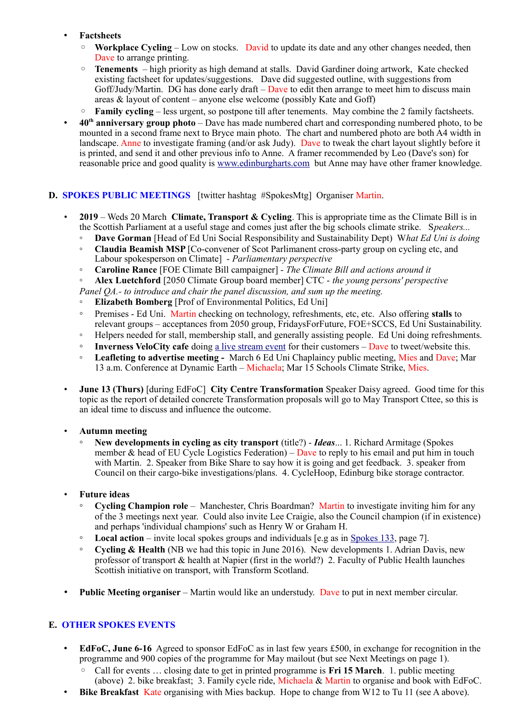## • **Factsheets**

- **Workplace Cycling** Low on stocks. David to update its date and any other changes needed, then Dave to arrange printing.
- **Tenements**  high priority as high demand at stalls. David Gardiner doing artwork, Kate checked existing factsheet for updates/suggestions. Dave did suggested outline, with suggestions from Goff/Judy/Martin. DG has done early draft – Dave to edit then arrange to meet him to discuss main areas & layout of content – anyone else welcome (possibly Kate and Goff)
- **Family cycling** less urgent, so postpone till after tenements. May combine the 2 family factsheets.
- **40th anniversary group photo** Dave has made numbered chart and corresponding numbered photo, to be mounted in a second frame next to Bryce main photo. The chart and numbered photo are both A4 width in landscape. Anne to investigate framing (and/or ask Judy). Dave to tweak the chart layout slightly before it is printed, and send it and other previous info to Anne. A framer recommended by Leo (Dave's son) for reasonable price and good quality is [www.edinburgharts.com](http://www.edinburgharts.com/) but Anne may have other framer knowledge.

## **D. SPOKES PUBLIC MEETINGS** [twitter hashtag #SpokesMtg] Organiser Martin.

- **2019** Weds 20 March **Climate, Transport & Cycling**. This is appropriate time as the Climate Bill is in the Scottish Parliament at a useful stage and comes just after the big schools climate strike. S*peakers...*
	- **Dave Gorman** [Head of Ed Uni Social Responsibility and Sustainability Dept) W*hat Ed Uni is doing*
	- **Claudia Beamish MSP** [Co-convener of Scot Parlimanent cross-party group on cycling etc, and Labour spokesperson on Climate] - *Parliamentary perspective*
	- **Caroline Rance** [FOE Climate Bill campaigner] *The Climate Bill and actions around it*

◦ **Alex Luetchford** [2050 Climate Group board member] CTC - *the young persons' perspective*

*Panel QA.- to introduce and chair the panel discussion, and sum up the meeting.*

- **Elizabeth Bomberg** [Prof of Environmental Politics, Ed Uni]
- Premises Ed Uni. Martin checking on technology, refreshments, etc, etc. Also offering **stalls** to relevant groups – acceptances from 2050 group, FridaysForFuture, FOE+SCCS, Ed Uni Sustainability.
- Helpers needed for stall, membership stall, and generally assisting people. Ed Uni doing refreshments.
- **Inverness VeloCity cafe** doing [a live stream event](http://velocitylove.co.uk/whatson/spokeslothian) for their customers Dave to tweet/website this.
- **Leafleting to advertise meeting** March 6 Ed Uni Chaplaincy public meeting, Mies and Dave; Mar 13 a.m. Conference at Dynamic Earth – Michaela; Mar 15 Schools Climate Strike, Mies.
- **June 13 (Thurs)** [during EdFoC] **City Centre Transformation** Speaker Daisy agreed. Good time for this topic as the report of detailed concrete Transformation proposals will go to May Transport Cttee, so this is an ideal time to discuss and influence the outcome.

## • **Autumn meeting**

◦ **New developments in cycling as city transport** (title?) - *Ideas*... 1. Richard Armitage (Spokes member & head of EU Cycle Logistics Federation) – Dave to reply to his email and put him in touch with Martin. 2. Speaker from Bike Share to say how it is going and get feedback. 3. speaker from Council on their cargo-bike investigations/plans. 4. CycleHoop, Edinburg bike storage contractor.

## • **Future ideas**

- **Cycling Champion role** Manchester, Chris Boardman? Martin to investigate inviting him for any of the 3 meetings next year. Could also invite Lee Craigie, also the Council champion (if in existence) and perhaps 'individual champions' such as Henry W or Graham H.
- **Local action** invite local spokes groups and individuals [e.g as in [Spokes 133,](http://www.spokes.org.uk/wp-content/uploads/2019/02/pall-at-95.pdf) page 7].
- **Cycling & Health** (NB we had this topic in June 2016). New developments 1. Adrian Davis, new professor of transport & health at Napier (first in the world?) 2. Faculty of Public Health launches Scottish initiative on transport, with Transform Scotland.
- **Public Meeting organiser** Martin would like an understudy. Dave to put in next member circular.

## **E. OTHER SPOKES EVENTS**

- **EdFoC, June 6-16** Agreed to sponsor EdFoC as in last few years £500, in exchange for recognition in the programme and 900 copies of the programme for May mailout (but see Next Meetings on page 1).
	- Call for events … closing date to get in printed programme is **Fri 15 March**. 1. public meeting (above) 2. bike breakfast; 3. Family cycle ride, Michaela & Martin to organise and book with EdFoC.
- **Bike Breakfast** Kate organising with Mies backup. Hope to change from W12 to Tu 11 (see A above).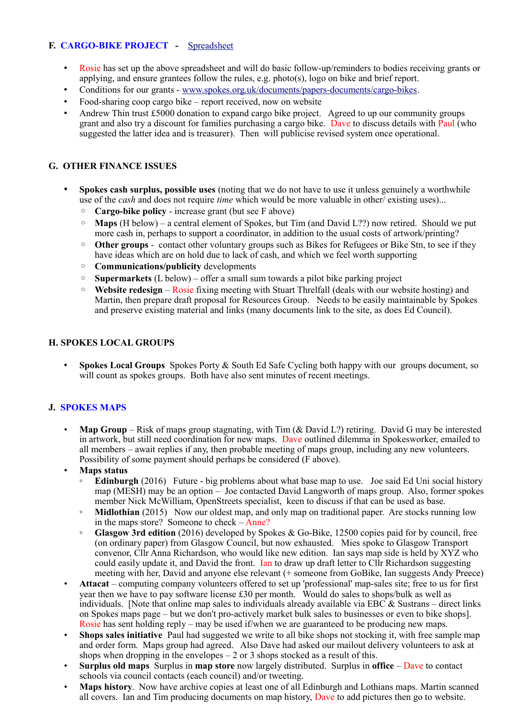# **F. CARGO-BIKE PROJECT -** [Spreadsheet](https://drive.google.com/drive/folders/1BuWIrWRXwrDyFuw-nDA8n9ms37oAeKwH)

- Rosie has set up the above spreadsheet and will do basic follow-up/reminders to bodies receiving grants or applying, and ensure grantees follow the rules, e.g. photo(s), logo on bike and brief report.
- Conditions for our grants - [www.spokes.org.uk/documents/papers-documents/cargo-bikes.](http://www.spokes.org.uk/documents/papers-documents/cargo-bikes)
- Food-sharing coop cargo bike report received, now on website
- Andrew Thin trust  $\text{\pounds}5000$  donation to expand cargo bike project. Agreed to up our community groups grant and also try a discount for families purchasing a cargo bike. Dave to discuss details with Paul (who suggested the latter idea and is treasurer). Then will publicise revised system once operational.

## **G. OTHER FINANCE ISSUES**

- **Spokes cash surplus, possible uses** (noting that we do not have to use it unless genuinely a worthwhile use of the *cash* and does not require *time* which would be more valuable in other/ existing uses)...
	- **Cargo-bike policy** increase grant (but see F above)
	- **Maps** (H below) a central element of Spokes, but Tim (and David L??) now retired. Should we put more cash in, perhaps to support a coordinator, in addition to the usual costs of artwork/printing?
	- Other groups contact other voluntary groups such as Bikes for Refugees or Bike Stn, to see if they have ideas which are on hold due to lack of cash, and which we feel worth supporting
	- **Communications/publicity** developments
	- **Supermarkets** (L below) offer a small sum towards a pilot bike parking project
	- **Website redesign** Rosie fixing meeting with Stuart Threlfall (deals with our website hosting) and Martin, then prepare draft proposal for Resources Group. Needs to be easily maintainable by Spokes and preserve existing material and links (many documents link to the site, as does Ed Council).

## **H. SPOKES LOCAL GROUPS**

• **Spokes Local Groups** Spokes Porty & South Ed Safe Cycling both happy with our groups document, so will count as spokes groups. Both have also sent minutes of recent meetings.

## **J. SPOKES MAPS**

- **Map Group** Risk of maps group stagnating, with Tim (& David L?) retiring. David G may be interested in artwork, but still need coordination for new maps. Dave outlined dilemma in Spokesworker, emailed to all members – await replies if any, then probable meeting of maps group, including any new volunteers. Possibility of some payment should perhaps be considered (F above).
- **Maps status**
	- **Edinburgh** (2016) Future big problems about what base map to use. Joe said Ed Uni social history map (MESH) may be an option – Joe contacted David Langworth of maps group. Also, former spokes member Nick McWilliam, OpenStreets specialist, keen to discuss if that can be used as base.
	- **Midlothian** (2015) Now our oldest map, and only map on traditional paper. Are stocks running low in the maps store? Someone to check – Anne?
	- **Glasgow 3rd edition** (2016) developed by Spokes & Go-Bike, 12500 copies paid for by council, free (on ordinary paper) from Glasgow Council, but now exhausted. Mies spoke to Glasgow Transport convenor, Cllr Anna Richardson, who would like new edition. Ian says map side is held by XYZ who could easily update it, and David the front. Ian to draw up draft letter to Cllr Richardson suggesting meeting with her, David and anyone else relevant (+ someone from GoBike, Ian suggests Andy Preece)
- **Attacat** computing company volunteers offered to set up 'professional' map-sales site; free to us for first year then we have to pay software license £30 per month. Would do sales to shops/bulk as well as individuals. [Note that online map sales to individuals already available via EBC  $\&$  Sustrans – direct links on Spokes maps page – but we don't pro-actively market bulk sales to businesses or even to bike shops]. Rosie has sent holding reply – may be used if/when we are guaranteed to be producing new maps.
- **Shops sales initiative** Paul had suggested we write to all bike shops not stocking it, with free sample map and order form. Maps group had agreed. Also Dave had asked our mailout delivery volunteers to ask at shops when dropping in the envelopes  $-2$  or 3 shops stocked as a result of this.
- **Surplus old maps** Surplus in **map store** now largely distributed. Surplus in **office** Dave to contact schools via council contacts (each council) and/or tweeting.
- **Maps history**. Now have archive copies at least one of all Edinburgh and Lothians maps. Martin scanned all covers. Ian and Tim producing documents on map history, Dave to add pictures then go to website.